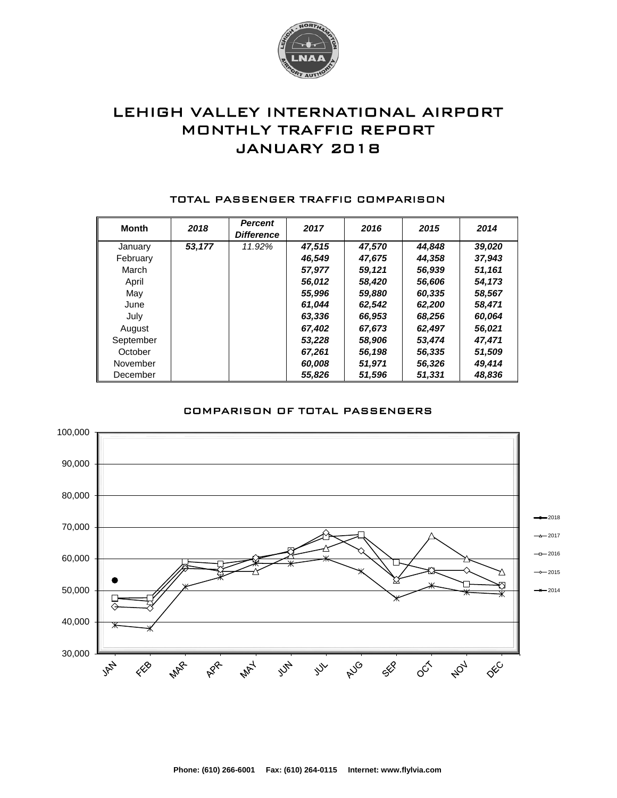

# LEHIGH VALLEY INTERNATIONAL AIRPORT MONTHLY TRAFFIC REPORT JANUARY 2018

| <b>Month</b> | 2018   | <b>Percent</b><br><b>Difference</b> | 2017   | 2016   | 2015   | 2014   |
|--------------|--------|-------------------------------------|--------|--------|--------|--------|
| January      | 53,177 | 11.92%                              | 47,515 | 47.570 | 44.848 | 39,020 |
| February     |        |                                     | 46.549 | 47,675 | 44.358 | 37,943 |
| March        |        |                                     | 57.977 | 59,121 | 56,939 | 51,161 |
| April        |        |                                     | 56,012 | 58,420 | 56,606 | 54,173 |
| May          |        |                                     | 55,996 | 59,880 | 60,335 | 58,567 |
| June         |        |                                     | 61.044 | 62,542 | 62,200 | 58,471 |
| July         |        |                                     | 63,336 | 66,953 | 68,256 | 60,064 |
| August       |        |                                     | 67.402 | 67,673 | 62,497 | 56,021 |
| September    |        |                                     | 53.228 | 58,906 | 53,474 | 47.471 |
| October      |        |                                     | 67,261 | 56,198 | 56,335 | 51,509 |
| November     |        |                                     | 60,008 | 51,971 | 56,326 | 49,414 |
| December     |        |                                     | 55,826 | 51,596 | 51,331 | 48,836 |

#### TOTAL PASSENGER TRAFFIC COMPARISON

### COMPARISON OF TOTAL PASSENGERS

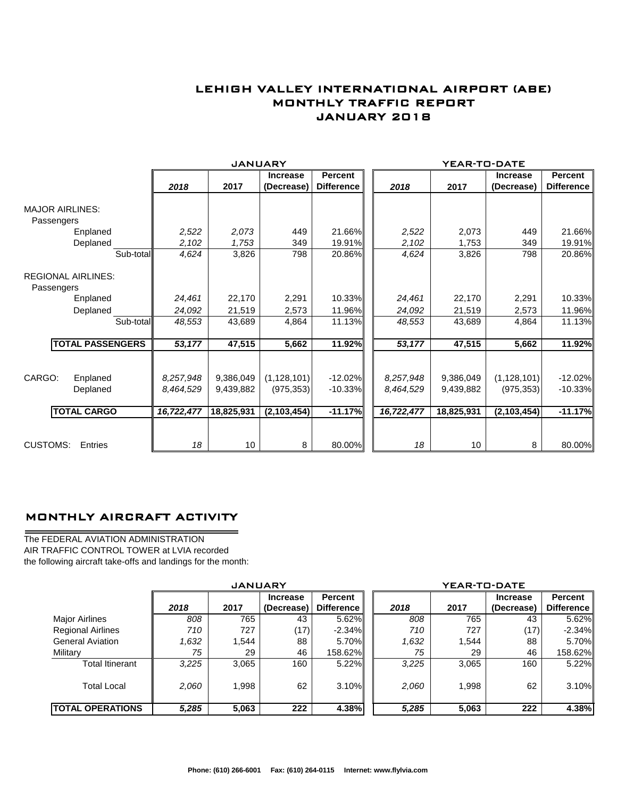## LEHIGH VALLEY INTERNATIONAL AIRPORT (ABE) MONTHLY TRAFFIC REPORT JANUARY 2018

|                                         |                         |            | <b>JANUARY</b> |                 |                   |            | YEAR-TO-DATE |                 |                   |
|-----------------------------------------|-------------------------|------------|----------------|-----------------|-------------------|------------|--------------|-----------------|-------------------|
|                                         |                         |            |                | <b>Increase</b> | Percent           |            |              | <b>Increase</b> | <b>Percent</b>    |
|                                         |                         | 2018       | 2017           | (Decrease)      | <b>Difference</b> | 2018       | 2017         | (Decrease)      | <b>Difference</b> |
| <b>MAJOR AIRLINES:</b><br>Passengers    |                         |            |                |                 |                   |            |              |                 |                   |
|                                         | Enplaned                | 2,522      | 2,073          | 449             | 21.66%            | 2,522      | 2,073        | 449             | 21.66%            |
|                                         | Deplaned                | 2,102      | 1,753          | 349             | 19.91%            | 2,102      | 1,753        | 349             | 19.91%            |
|                                         | Sub-total               | 4,624      | 3,826          | 798             | 20.86%            | 4,624      | 3,826        | 798             | 20.86%            |
| <b>REGIONAL AIRLINES:</b><br>Passengers |                         |            |                |                 |                   |            |              |                 |                   |
|                                         | Enplaned                | 24,461     | 22,170         | 2,291           | 10.33%            | 24,461     | 22,170       | 2,291           | 10.33%            |
|                                         | Deplaned                | 24,092     | 21,519         | 2,573           | 11.96%            | 24,092     | 21,519       | 2,573           | 11.96%            |
|                                         | Sub-total               | 48,553     | 43,689         | 4,864           | 11.13%            | 48,553     | 43,689       | 4,864           | 11.13%            |
|                                         | <b>TOTAL PASSENGERS</b> | 53,177     | 47,515         | 5,662           | 11.92%            | 53,177     | 47,515       | 5,662           | 11.92%            |
|                                         |                         |            |                |                 |                   |            |              |                 |                   |
| CARGO:                                  | Enplaned                | 8,257,948  | 9,386,049      | (1, 128, 101)   | $-12.02\%$        | 8,257,948  | 9,386,049    | (1, 128, 101)   | $-12.02%$         |
|                                         | Deplaned                | 8.464.529  | 9,439,882      | (975, 353)      | $-10.33%$         | 8,464,529  | 9.439.882    | (975, 353)      | $-10.33%$         |
| <b>TOTAL CARGO</b>                      |                         | 16,722,477 | 18,825,931     | (2,103,454)     | $-11.17%$         | 16,722,477 | 18,825,931   | (2, 103, 454)   | $-11.17%$         |
| <b>CUSTOMS:</b>                         | Entries                 | 18         | 10             | 8               | 80.00%            | 18         | 10           | 8               | 80.00%            |

### MONTHLY AIRCRAFT ACTIVITY

The FEDERAL AVIATION ADMINISTRATION AIR TRAFFIC CONTROL TOWER at LVIA recorded the following aircraft take-offs and landings for the month:

 $\overline{\phantom{0}}$ 

|                          | <b>JANUARY</b> |       |                 |                   |  | YEAR-TO-DATE |       |                 |                   |  |  |
|--------------------------|----------------|-------|-----------------|-------------------|--|--------------|-------|-----------------|-------------------|--|--|
|                          |                |       | <b>Increase</b> | Percent           |  |              |       | <b>Increase</b> | Percent           |  |  |
|                          | 2018           | 2017  | (Decrease)      | <b>Difference</b> |  | 2018         | 2017  | (Decrease)      | <b>Difference</b> |  |  |
| <b>Major Airlines</b>    | 808            | 765   | 43              | $5.62\%$          |  | 808          | 765   | 43              | $5.62\%$          |  |  |
| <b>Regional Airlines</b> | 710            | 727   | (17)            | $-2.34\%$         |  | 710          | 727   | (17)            | $-2.34\%$         |  |  |
| <b>General Aviation</b>  | .632           | 1,544 | 88              | 5.70%I            |  | 1,632        | 1,544 | 88              | 5.70%             |  |  |
| Military                 | 75             | 29    | 46              | 158.62%           |  | 75           | 29    | 46              | 158.62%           |  |  |
| <b>Total Itinerant</b>   | 3,225          | 3,065 | 160             | $5.22\%$          |  | 3,225        | 3.065 | 160             | $5.22\%$          |  |  |
| <b>Total Local</b>       | 2,060          | 1,998 | 62              | 3.10%             |  | 2,060        | 1,998 | 62              | $3.10\%$          |  |  |
| <b>TOTAL OPERATIONS</b>  | 5,285          | 5,063 | 222             | 4.38%             |  | 5,285        | 5,063 | 222             | 4.38%             |  |  |